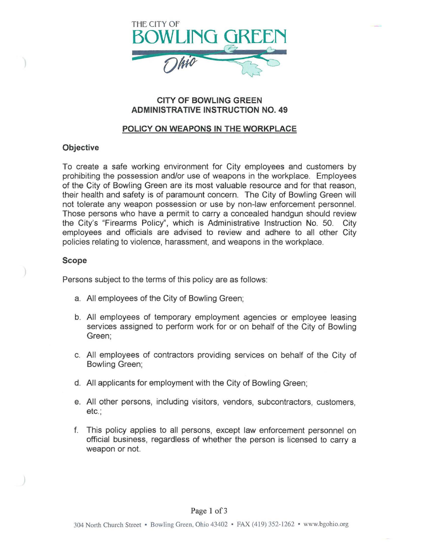

# **CITY OF BOWLING GREEN ADMINISTRATIVE INSTRUCTION NO. 49**

# **POLICY ON WEAPONS IN THE WORKPLACE**

## **Objective**

To create a safe working environment for City employees and customers by prohibiting the possession and/or use of weapons in the workplace. Employees of the City of Bowling Green are its most valuable resource and for that reason, their health and safety is of paramount concern. The City of Bowling Green will not tolerate any weapon possession or use by non-law enforcement personnel. Those persons who have a permit to carry a concealed handgun should review the City's "Firearms Policy'', which is Administrative Instruction No. 50. City employees and officials are advised to review and adhere to all other City policies relating to violence, harassment, and weapons in the workplace.

### **Scope**

Persons subject to the terms of this policy are as follows:

- a. All employees of the City of Bowling Green;
- b. All employees of temporary employment agencies or employee leasing services assigned to perform work for or on behalf of the City of Bowling Green;
- c. All employees of contractors providing services on behalf of the City of Bowling Green;
- d. All applicants for employment with the City of Bowling Green;
- e. All other persons, including visitors, vendors, subcontractors, customers, etc.;
- f. This policy applies to all persons, except law enforcement personnel on official business, regardless of whether the person is licensed to carry a weapon or not.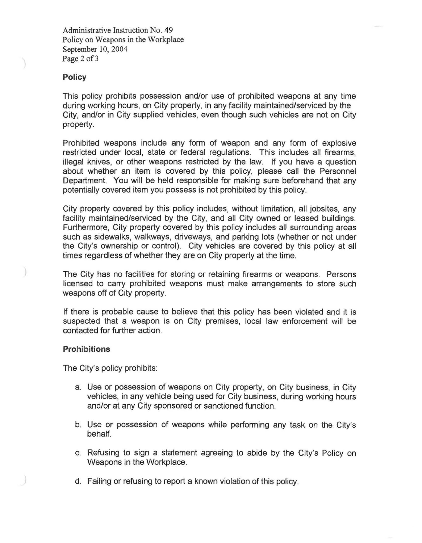Administrative Instruction No. 49 Policy on Weapons in the Workplace September 10, 2004 Page 2 of 3

### **Policy**

This policy prohibits possession and/or use of prohibited weapons at any time during working hours, on City property, in any facility maintained/serviced by the City, and/or in City supplied vehicles, even though such vehicles are not on City property.

Prohibited weapons include any form of weapon and any form of explosive restricted under local, state or federal regulations. This includes all firearms, illegal knives, or other weapons restricted by the law. If you have a question about whether an item is covered by this policy, please call the Personnel Department. You will be held responsible for making sure beforehand that any potentially covered item you possess is not prohibited by this policy.

City property covered by this policy includes, without limitation, all jobsites, any facility maintained/serviced by the City, and all City owned or leased buildings. Furthermore, City property covered by this policy includes all surrounding areas such as sidewalks, walkways, driveways, and parking lots (whether or not under the City's ownership or control). City vehicles are covered by this policy at all times regardless of whether they are on City property at the time.

The City has no facilities for storing or retaining firearms or weapons. Persons licensed to carry prohibited weapons must make arrangements to store such weapons off of City property.

If there is probable cause to believe that this policy has been violated and it is suspected that a weapon is on City premises, local law enforcement will be contacted for further action.

#### **Prohibitions**

The City's policy prohibits:

- a. Use or possession of weapons on City property, on City business, in City vehicles, in any vehicle being used for City business, during working hours and/or at any City sponsored or sanctioned function.
- b. Use or possession of weapons while performing any task on the City's behalf.
- c. Refusing to sign a statement agreeing to abide by the City's Policy on Weapons in the Workplace.
- d. Failing or refusing to report a known violation of this policy.